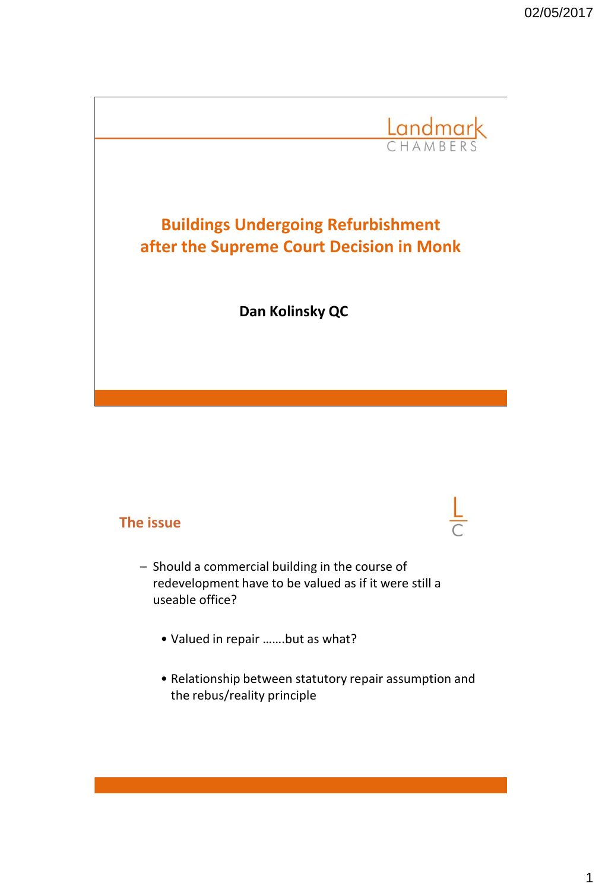

### **The issue**

- Should a commercial building in the course of redevelopment have to be valued as if it were still a useable office?
	- Valued in repair …….but as what?
	- Relationship between statutory repair assumption and the rebus/reality principle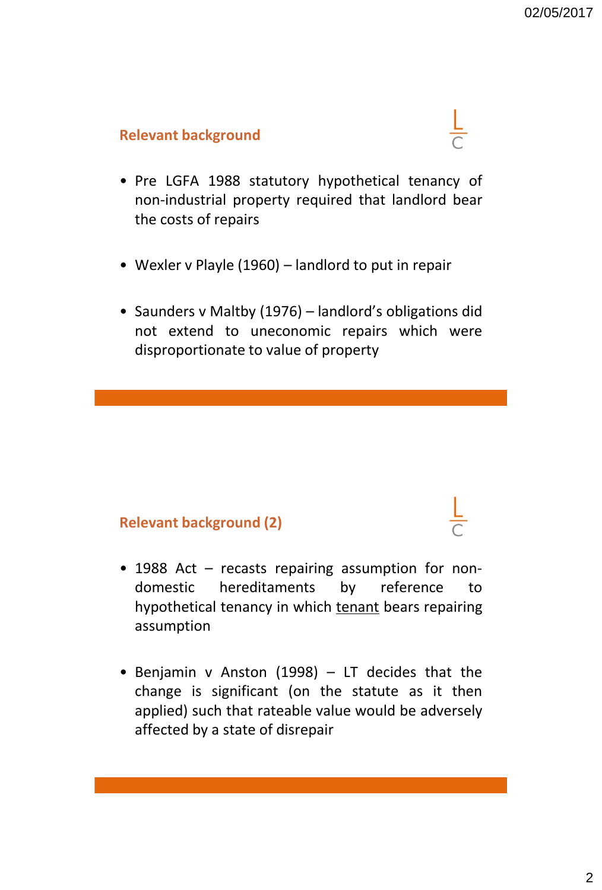### **Relevant background**

- Pre LGFA 1988 statutory hypothetical tenancy of non-industrial property required that landlord bear the costs of repairs
- Wexler v Playle (1960) landlord to put in repair
- Saunders v Maltby (1976) landlord's obligations did not extend to uneconomic repairs which were disproportionate to value of property

### **Relevant background (2)**

- 1988 Act recasts repairing assumption for nondomestic hereditaments by reference to hypothetical tenancy in which tenant bears repairing assumption
- Benjamin v Anston (1998) LT decides that the change is significant (on the statute as it then applied) such that rateable value would be adversely affected by a state of disrepair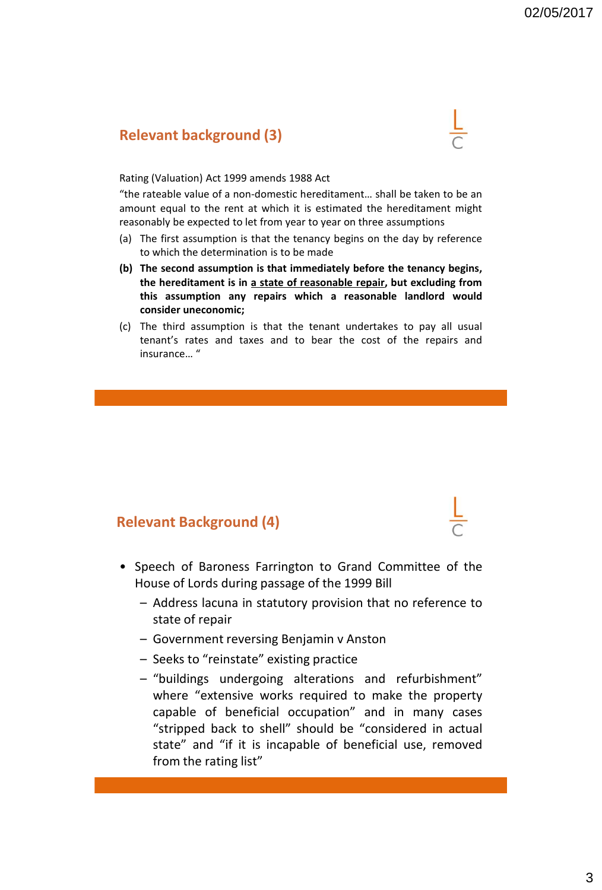### **Relevant background (3)**

#### Rating (Valuation) Act 1999 amends 1988 Act

"the rateable value of a non-domestic hereditament… shall be taken to be an amount equal to the rent at which it is estimated the hereditament might reasonably be expected to let from year to year on three assumptions

- (a) The first assumption is that the tenancy begins on the day by reference to which the determination is to be made
- **(b) The second assumption is that immediately before the tenancy begins, the hereditament is in a state of reasonable repair, but excluding from this assumption any repairs which a reasonable landlord would consider uneconomic;**
- (c) The third assumption is that the tenant undertakes to pay all usual tenant's rates and taxes and to bear the cost of the repairs and insurance… "

#### **Relevant Background (4)**

- Speech of Baroness Farrington to Grand Committee of the House of Lords during passage of the 1999 Bill
	- Address lacuna in statutory provision that no reference to state of repair
	- Government reversing Benjamin v Anston
	- Seeks to "reinstate" existing practice
	- "buildings undergoing alterations and refurbishment" where "extensive works required to make the property capable of beneficial occupation" and in many cases "stripped back to shell" should be "considered in actual state" and "if it is incapable of beneficial use, removed from the rating list"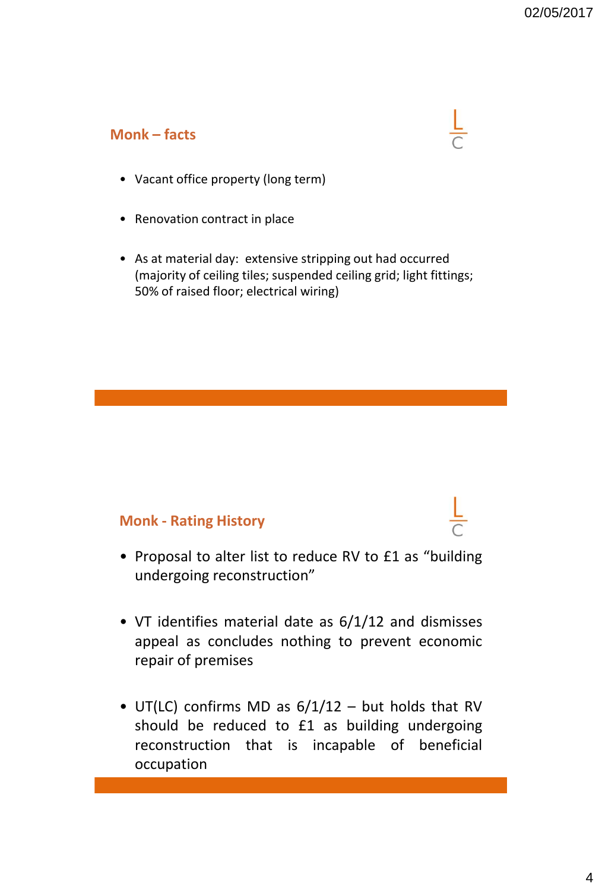### **Monk – facts**



- Renovation contract in place
- As at material day: extensive stripping out had occurred (majority of ceiling tiles; suspended ceiling grid; light fittings; 50% of raised floor; electrical wiring)

#### **Monk - Rating History**

- Proposal to alter list to reduce RV to £1 as "building undergoing reconstruction"
- VT identifies material date as 6/1/12 and dismisses appeal as concludes nothing to prevent economic repair of premises
- UT(LC) confirms MD as  $6/1/12$  but holds that RV should be reduced to £1 as building undergoing reconstruction that is incapable of beneficial occupation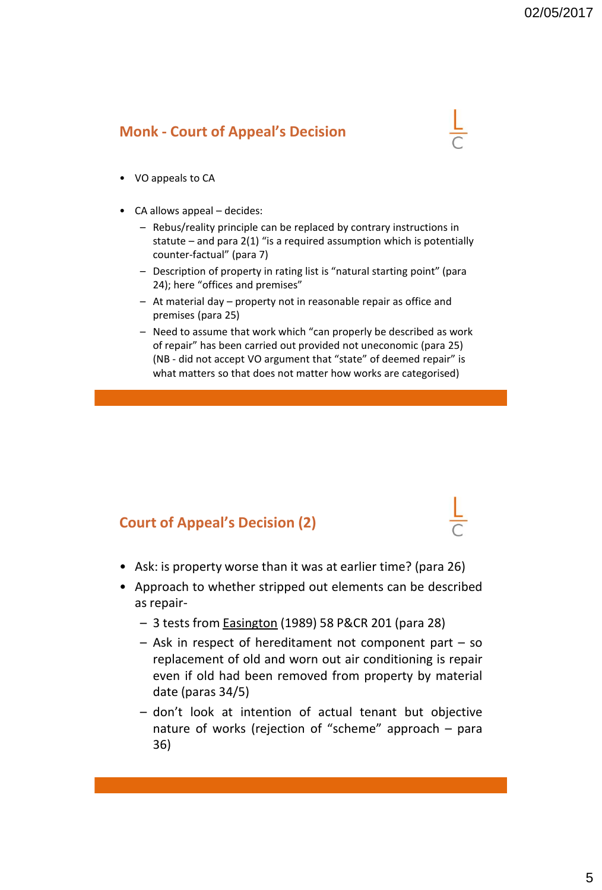### **Monk - Court of Appeal's Decision**

- VO appeals to CA
- CA allows appeal decides:
	- Rebus/reality principle can be replaced by contrary instructions in statute – and para 2(1) "is a required assumption which is potentially counter-factual" (para 7)
	- Description of property in rating list is "natural starting point" (para 24); here "offices and premises"
	- At material day property not in reasonable repair as office and premises (para 25)
	- Need to assume that work which "can properly be described as work of repair" has been carried out provided not uneconomic (para 25) (NB - did not accept VO argument that "state" of deemed repair" is what matters so that does not matter how works are categorised)

### **Court of Appeal's Decision (2)**

- Ask: is property worse than it was at earlier time? (para 26)
- Approach to whether stripped out elements can be described as repair-
	- 3 tests from Easington (1989) 58 P&CR 201 (para 28)
	- Ask in respect of hereditament not component part so replacement of old and worn out air conditioning is repair even if old had been removed from property by material date (paras 34/5)
	- don't look at intention of actual tenant but objective nature of works (rejection of "scheme" approach – para 36)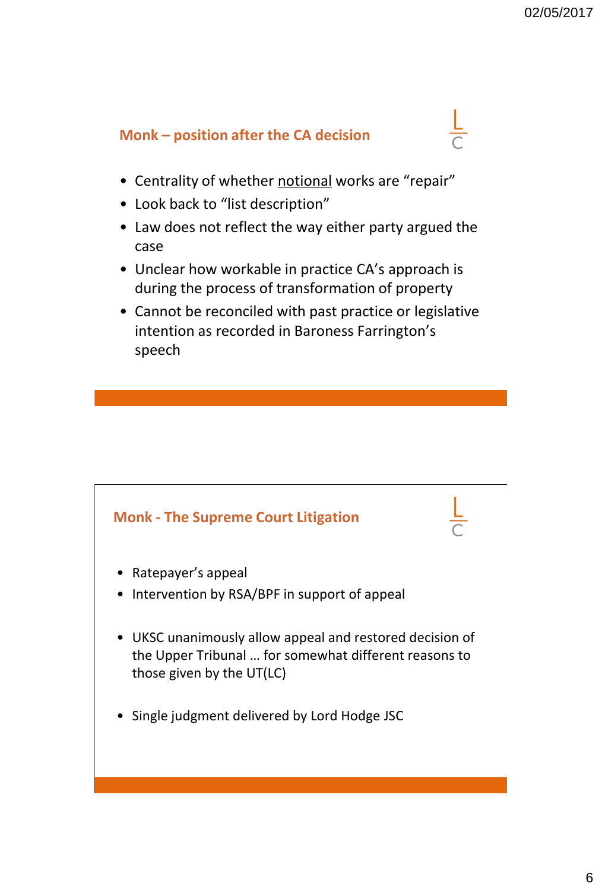## **Monk – position after the CA decision**

- Centrality of whether notional works are "repair"
- Look back to "list description"
- Law does not reflect the way either party argued the case
- Unclear how workable in practice CA's approach is during the process of transformation of property
- Cannot be reconciled with past practice or legislative intention as recorded in Baroness Farrington's speech

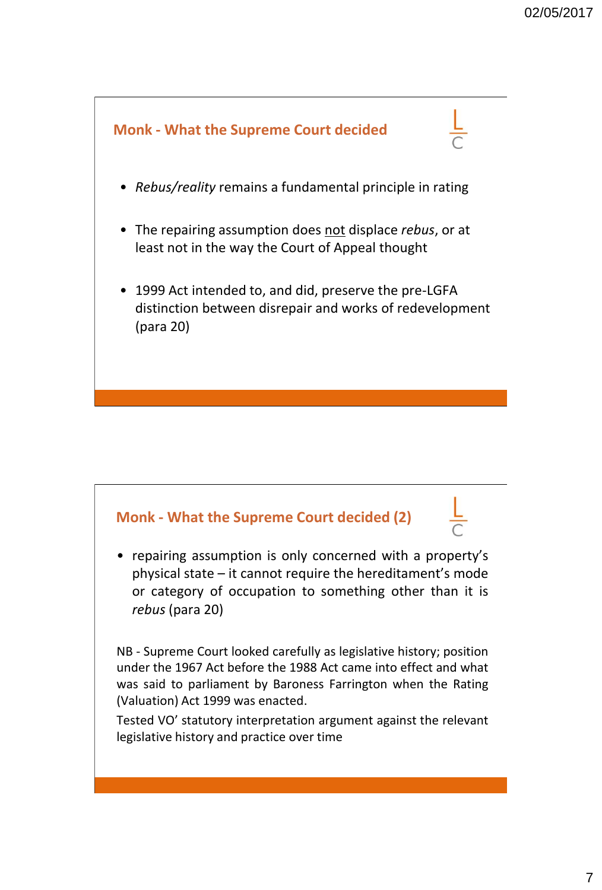

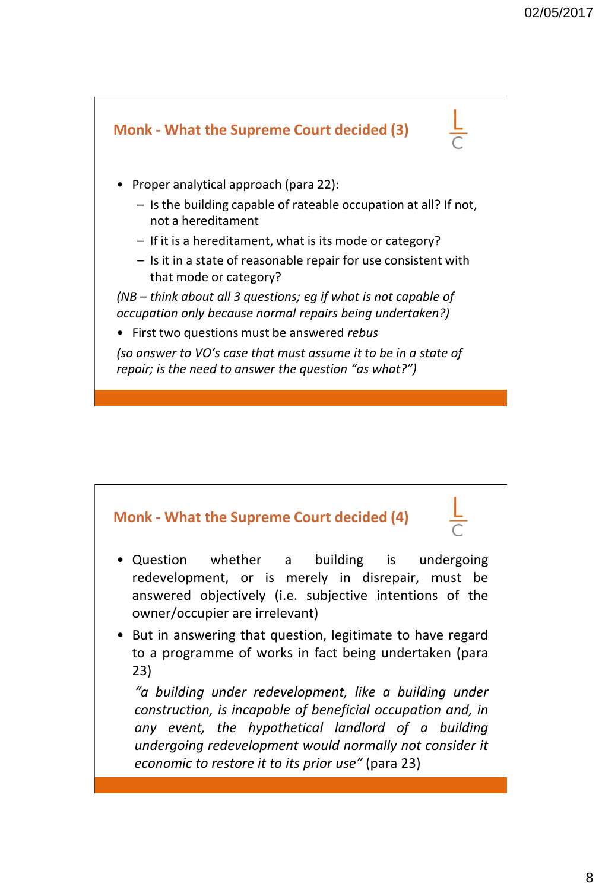

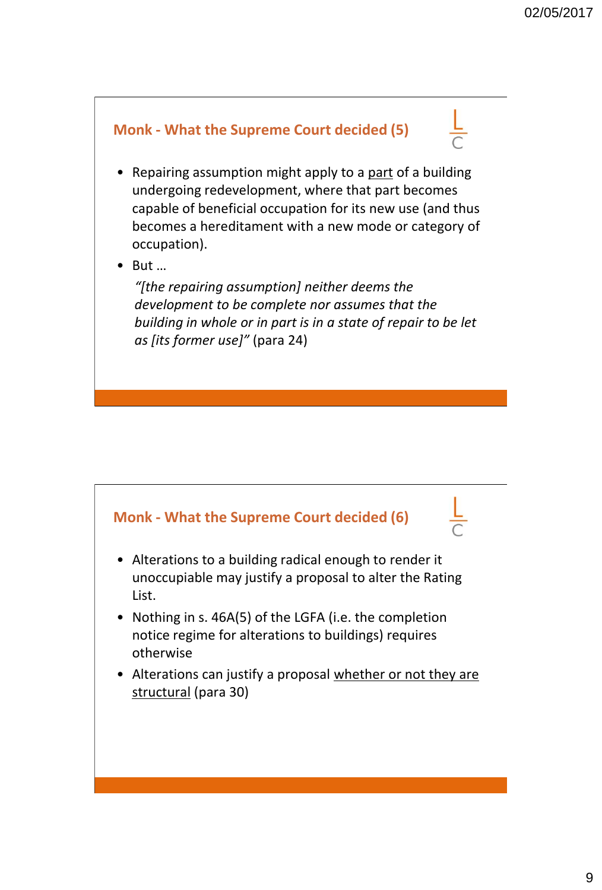

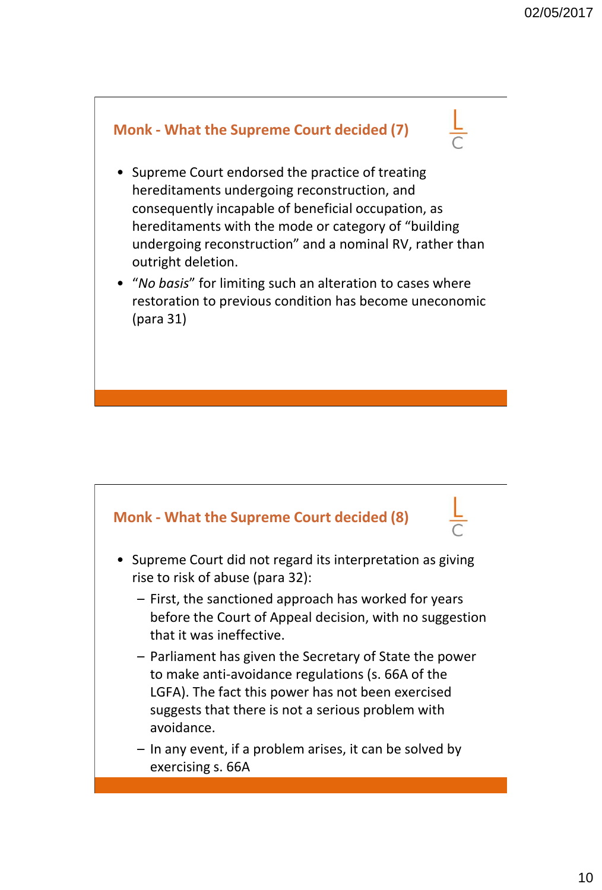

- Supreme Court endorsed the practice of treating hereditaments undergoing reconstruction, and consequently incapable of beneficial occupation, as hereditaments with the mode or category of "building undergoing reconstruction" and a nominal RV, rather than outright deletion.
- "*No basis*" for limiting such an alteration to cases where restoration to previous condition has become uneconomic (para 31)



- Supreme Court did not regard its interpretation as giving rise to risk of abuse (para 32):
	- First, the sanctioned approach has worked for years before the Court of Appeal decision, with no suggestion that it was ineffective.
	- Parliament has given the Secretary of State the power to make anti-avoidance regulations (s. 66A of the LGFA). The fact this power has not been exercised suggests that there is not a serious problem with avoidance.
	- In any event, if a problem arises, it can be solved by exercising s. 66A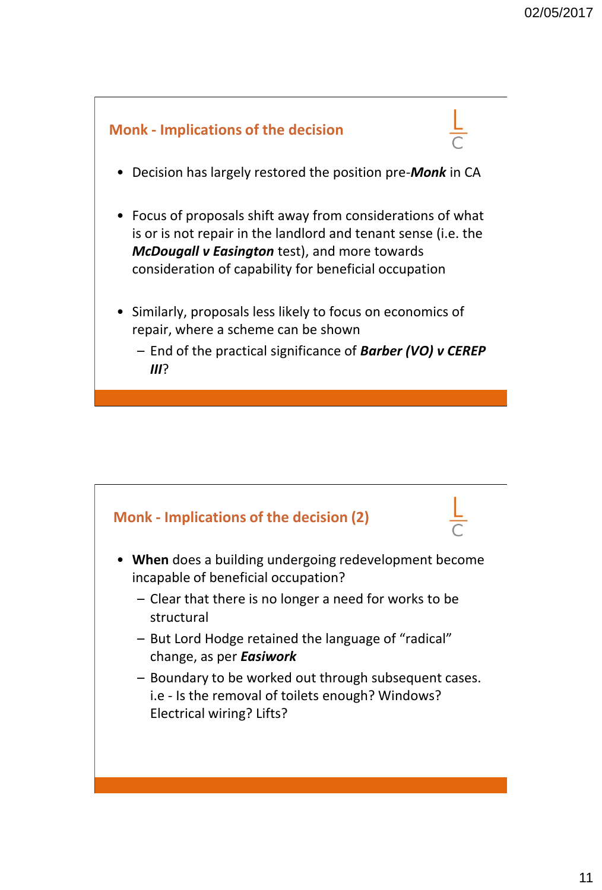

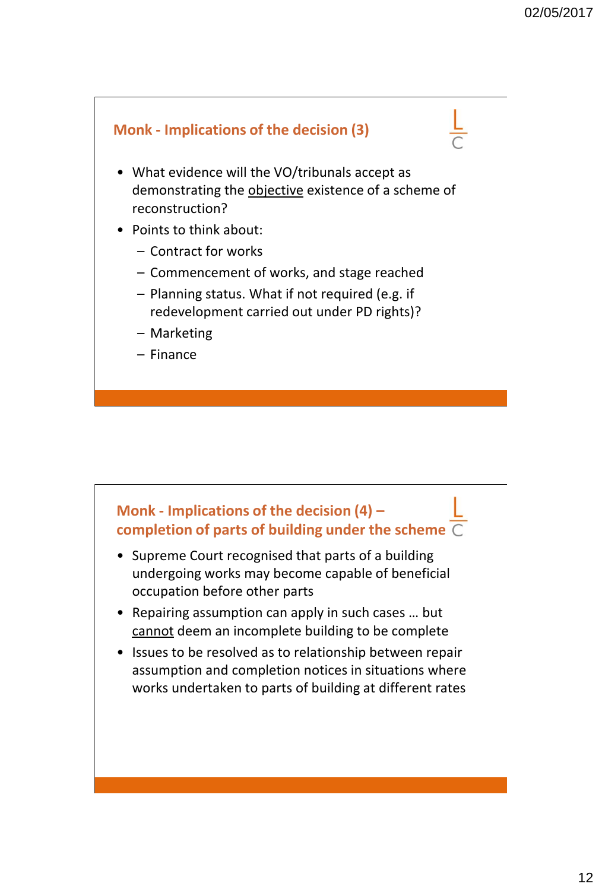